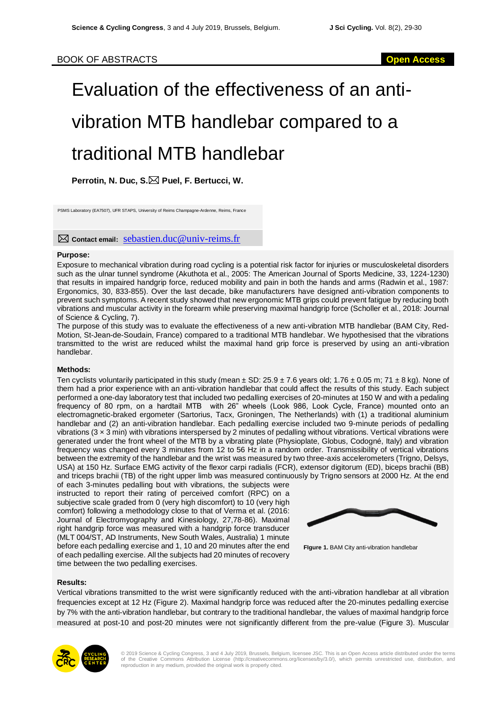# Evaluation of the effectiveness of an antivibration MTB handlebar compared to a traditional MTB handlebar

**Perrotin, N. Duc, S. Puel, F. Bertucci, W.**

PSMS Laboratory (EA7507), UFR STAPS, University of Reims Champagne-Ardenne, Reims, France

**Contact email:** [sebastien.duc@univ-reims.fr](mailto:sebastien.duc@univ-reims.fr)

## **Purpose:**

Exposure to mechanical vibration during road cycling is a potential risk factor for injuries or musculoskeletal disorders such as the ulnar tunnel syndrome (Akuthota et al., 2005: The American Journal of Sports Medicine, 33, 1224-1230) that results in impaired handgrip force, reduced mobility and pain in both the hands and arms (Radwin et al., 1987: Ergonomics, 30, 833-855). Over the last decade, bike manufacturers have designed anti-vibration components to prevent such symptoms. A recent study showed that new ergonomic MTB grips could prevent fatigue by reducing both vibrations and muscular activity in the forearm while preserving maximal handgrip force (Scholler et al., 2018: Journal of Science & Cycling, 7).

The purpose of this study was to evaluate the effectiveness of a new anti-vibration MTB handlebar (BAM City, Red-Motion, St-Jean-de-Soudain, France) compared to a traditional MTB handlebar. We hypothesised that the vibrations transmitted to the wrist are reduced whilst the maximal hand grip force is preserved by using an anti-vibration handlebar.

## **Methods:**

Ten cyclists voluntarily participated in this study (mean  $\pm$  SD: 25.9  $\pm$  7.6 years old; 1.76  $\pm$  0.05 m; 71  $\pm$  8 kg). None of them had a prior experience with an anti-vibration handlebar that could affect the results of this study. Each subject performed a one-day laboratory test that included two pedalling exercises of 20-minutes at 150 W and with a pedaling frequency of 80 rpm, on a hardtail MTB with 26" wheels (Look 986, Look Cycle, France) mounted onto an electromagnetic-braked ergometer (Sartorius, Tacx, Groningen, The Netherlands) with (1) a traditional aluminium handlebar and (2) an anti-vibration handlebar. Each pedalling exercise included two 9-minute periods of pedalling vibrations  $(3 \times 3 \text{ min})$  with vibrations interspersed by 2 minutes of pedalling without vibrations. Vertical vibrations were generated under the front wheel of the MTB by a vibrating plate (Physioplate, Globus, Codogné, Italy) and vibration frequency was changed every 3 minutes from 12 to 56 Hz in a random order. Transmissibility of vertical vibrations between the extremity of the handlebar and the wrist was measured by two three-axis accelerometers (Trigno, Delsys, USA) at 150 Hz. Surface EMG activity of the flexor carpi radialis (FCR), extensor digitorum (ED), biceps brachii (BB) and triceps brachii (TB) of the right upper limb was measured continuously by Trigno sensors at 2000 Hz. At the end

of each 3-minutes pedalling bout with vibrations, the subjects were instructed to report their rating of perceived comfort (RPC) on a subjective scale graded from 0 (very high discomfort) to 10 (very high comfort) following a methodology close to that of Verma et al. (2016: Journal of Electromyography and Kinesiology, 27,78-86). Maximal right handgrip force was measured with a handgrip force transducer (MLT 004/ST, AD Instruments, New South Wales, Australia) 1 minute before each pedalling exercise and 1, 10 and 20 minutes after the end of each pedalling exercise. All the subjects had 20 minutes of recovery time between the two pedalling exercises.



**FIgure 1.** BAM City anti-vibration handlebar

## **Results:**

Vertical vibrations transmitted to the wrist were significantly reduced with the anti-vibration handlebar at all vibration frequencies except at 12 Hz (Figure 2). Maximal handgrip force was reduced after the 20-minutes pedalling exercise by 7% with the anti-vibration handlebar, but contrary to the traditional handlebar, the values of maximal handgrip force measured at post-10 and post-20 minutes were not significantly different from the pre-value (Figure 3). Muscular



© 2019 Science & Cycling Congress, 3 and 4 July 2019, Brussels, Belgium, licensee JSC. This is an Open Access article distributed under the terms<br>of the Creative Commons Attribution License (http://creativecommons.org/lice reproduction in any medium, provided the original work is properly cited.